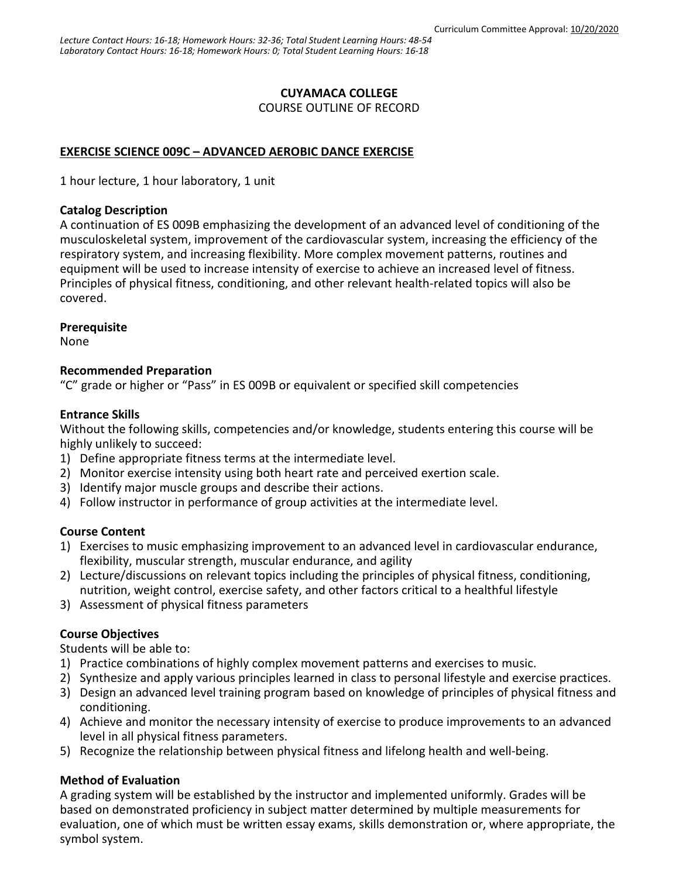## **CUYAMACA COLLEGE**

COURSE OUTLINE OF RECORD

# **EXERCISE SCIENCE 009C – ADVANCED AEROBIC DANCE EXERCISE**

1 hour lecture, 1 hour laboratory, 1 unit

#### **Catalog Description**

A continuation of ES 009B emphasizing the development of an advanced level of conditioning of the musculoskeletal system, improvement of the cardiovascular system, increasing the efficiency of the respiratory system, and increasing flexibility. More complex movement patterns, routines and equipment will be used to increase intensity of exercise to achieve an increased level of fitness. Principles of physical fitness, conditioning, and other relevant health-related topics will also be covered.

#### **Prerequisite**

None

#### **Recommended Preparation**

"C" grade or higher or "Pass" in ES 009B or equivalent or specified skill competencies

### **Entrance Skills**

Without the following skills, competencies and/or knowledge, students entering this course will be highly unlikely to succeed:

- 1) Define appropriate fitness terms at the intermediate level.
- 2) Monitor exercise intensity using both heart rate and perceived exertion scale.
- 3) Identify major muscle groups and describe their actions.
- 4) Follow instructor in performance of group activities at the intermediate level.

### **Course Content**

- 1) Exercises to music emphasizing improvement to an advanced level in cardiovascular endurance, flexibility, muscular strength, muscular endurance, and agility
- 2) Lecture/discussions on relevant topics including the principles of physical fitness, conditioning, nutrition, weight control, exercise safety, and other factors critical to a healthful lifestyle
- 3) Assessment of physical fitness parameters

### **Course Objectives**

Students will be able to:

- 1) Practice combinations of highly complex movement patterns and exercises to music.
- 2) Synthesize and apply various principles learned in class to personal lifestyle and exercise practices.
- 3) Design an advanced level training program based on knowledge of principles of physical fitness and conditioning.
- 4) Achieve and monitor the necessary intensity of exercise to produce improvements to an advanced level in all physical fitness parameters.
- 5) Recognize the relationship between physical fitness and lifelong health and well-being.

### **Method of Evaluation**

A grading system will be established by the instructor and implemented uniformly. Grades will be based on demonstrated proficiency in subject matter determined by multiple measurements for evaluation, one of which must be written essay exams, skills demonstration or, where appropriate, the symbol system.